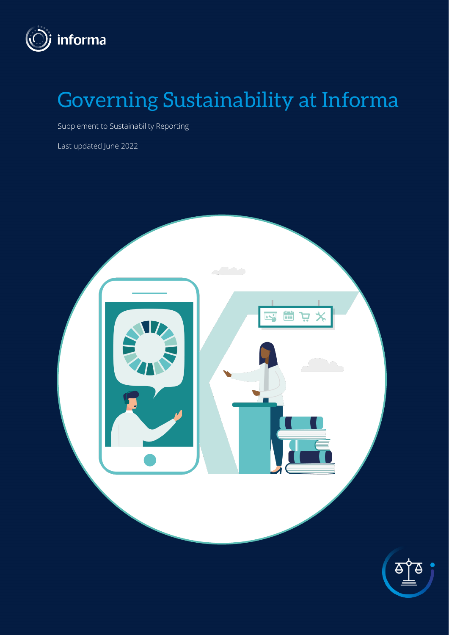

# Governing Sustainability at Informa

Supplement to Sustainability Reporting

Last updated June 2022

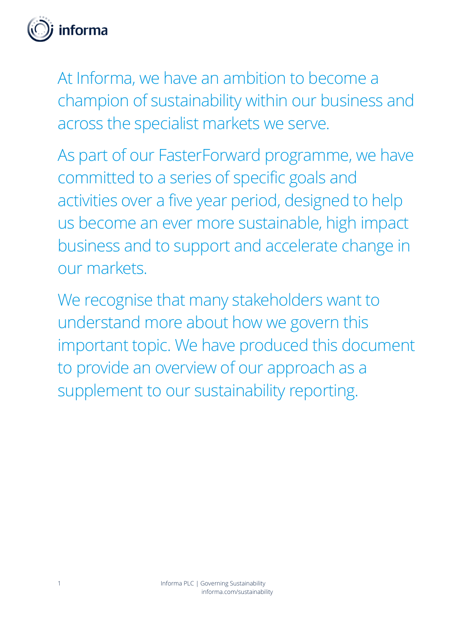

At Informa, we have an ambition to become a champion of sustainability within our business and across the specialist markets we serve.

As part of our FasterForward programme, we have committed to a series of specific goals and activities over a five year period, designed to help us become an ever more sustainable, high impact business and to support and accelerate change in our markets.

We recognise that many stakeholders want to understand more about how we govern this important topic. We have produced this document to provide an overview of our approach as a supplement to our sustainability reporting.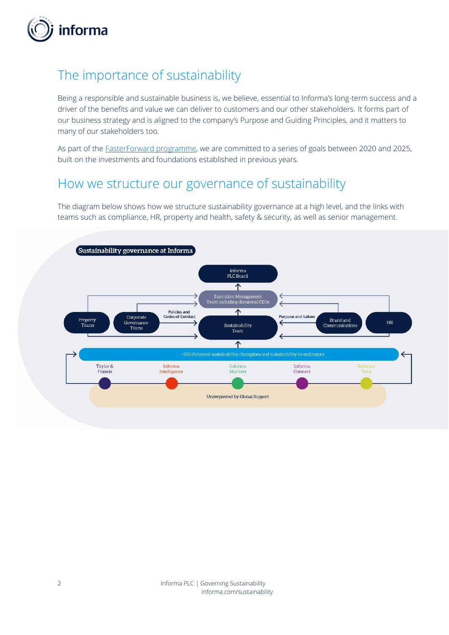

# The importance of sustainability

Being a responsible and sustainable business is, we believe, essential to Informa's long-term success and a driver of the benefits and value we can deliver to customers and our other stakeholders. It forms part of our business strategy and is aligned to the company's Purpose and Guiding Principles, and it matters to many of our stakeholders too.

As part of th[e FasterForward programme,](https://www.informa.com/sustainability/faster-forward/) we are committed to a series of goals between 2020 and 2025, built on the investments and foundations established in previous years.

#### How we structure our governance of sustainability

The diagram below shows how we structure sustainability governance at a high level, and the links with teams such as compliance, HR, property and health, safety & security, as well as senior management.

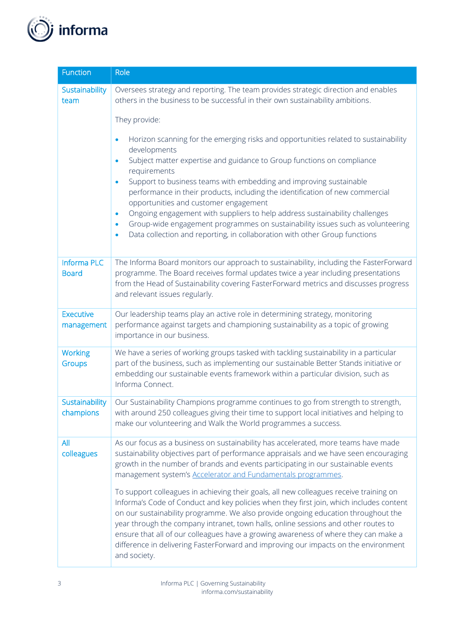

| <b>Function</b>                    | Role                                                                                                                                                                                                                                                                                                                                                                                                                                                                                                                                                                                                                                                                                                                       |
|------------------------------------|----------------------------------------------------------------------------------------------------------------------------------------------------------------------------------------------------------------------------------------------------------------------------------------------------------------------------------------------------------------------------------------------------------------------------------------------------------------------------------------------------------------------------------------------------------------------------------------------------------------------------------------------------------------------------------------------------------------------------|
| Sustainability<br>team             | Oversees strategy and reporting. The team provides strategic direction and enables<br>others in the business to be successful in their own sustainability ambitions.                                                                                                                                                                                                                                                                                                                                                                                                                                                                                                                                                       |
|                                    | They provide:                                                                                                                                                                                                                                                                                                                                                                                                                                                                                                                                                                                                                                                                                                              |
|                                    | Horizon scanning for the emerging risks and opportunities related to sustainability<br>$\bullet$<br>developments<br>Subject matter expertise and guidance to Group functions on compliance<br>$\bullet$<br>requirements<br>Support to business teams with embedding and improving sustainable<br>$\bullet$<br>performance in their products, including the identification of new commercial<br>opportunities and customer engagement<br>Ongoing engagement with suppliers to help address sustainability challenges<br>$\bullet$<br>Group-wide engagement programmes on sustainability issues such as volunteering<br>$\bullet$<br>Data collection and reporting, in collaboration with other Group functions<br>$\bullet$ |
| <b>Informa PLC</b><br><b>Board</b> | The Informa Board monitors our approach to sustainability, including the FasterForward<br>programme. The Board receives formal updates twice a year including presentations<br>from the Head of Sustainability covering FasterForward metrics and discusses progress<br>and relevant issues regularly.                                                                                                                                                                                                                                                                                                                                                                                                                     |
| <b>Executive</b><br>management     | Our leadership teams play an active role in determining strategy, monitoring<br>performance against targets and championing sustainability as a topic of growing<br>importance in our business.                                                                                                                                                                                                                                                                                                                                                                                                                                                                                                                            |
| <b>Working</b><br><b>Groups</b>    | We have a series of working groups tasked with tackling sustainability in a particular<br>part of the business, such as implementing our sustainable Better Stands initiative or<br>embedding our sustainable events framework within a particular division, such as<br>Informa Connect.                                                                                                                                                                                                                                                                                                                                                                                                                                   |
| Sustainability<br>champions        | Our Sustainability Champions programme continues to go from strength to strength,<br>with around 250 colleagues giving their time to support local initiatives and helping to<br>make our volunteering and Walk the World programmes a success.                                                                                                                                                                                                                                                                                                                                                                                                                                                                            |
| All<br>colleagues                  | As our focus as a business on sustainability has accelerated, more teams have made<br>sustainability objectives part of performance appraisals and we have seen encouraging<br>growth in the number of brands and events participating in our sustainable events<br>management system's <b>Accelerator and Fundamentals programmes</b> .<br>To support colleagues in achieving their goals, all new colleagues receive training on                                                                                                                                                                                                                                                                                         |
|                                    | Informa's Code of Conduct and key policies when they first join, which includes content<br>on our sustainability programme. We also provide ongoing education throughout the<br>year through the company intranet, town halls, online sessions and other routes to<br>ensure that all of our colleagues have a growing awareness of where they can make a<br>difference in delivering FasterForward and improving our impacts on the environment<br>and society.                                                                                                                                                                                                                                                           |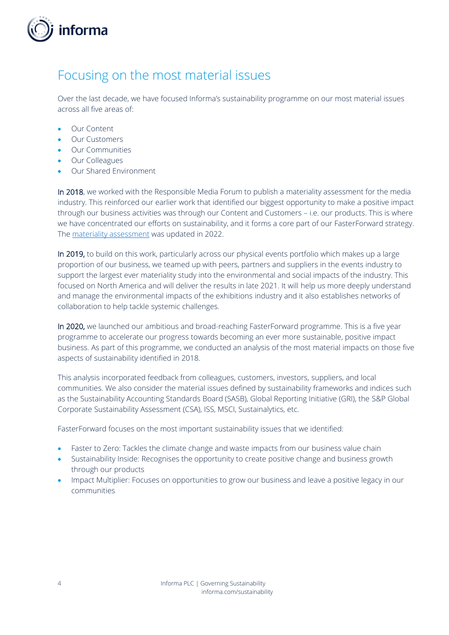

### <span id="page-4-0"></span>Focusing on the most material issues

Over the last decade, we have focused Informa's sustainability programme on our most material issues across all five areas of:

- Our Content
- Our Customers
- Our Communities
- Our Colleagues
- Our Shared Environment

In 2018, we worked with the Responsible Media Forum to publish a materiality assessment for the media industry. This reinforced our earlier work that identified our biggest opportunity to make a positive impact through our business activities was through our Content and Customers – i.e. our products. This is where we have concentrated our efforts on sustainability, and it forms a core part of our FasterForward strategy. The [materiality assessment](https://responsiblemediaforum.org/forum) was updated in 2022.

In 2019, to build on this work, particularly across our physical events portfolio which makes up a large proportion of our business, we teamed up with peers, partners and suppliers in the events industry to support the largest ever materiality study into the environmental and social impacts of the industry. This focused on North America and will deliver the results in late 2021. It will help us more deeply understand and manage the environmental impacts of the exhibitions industry and it also establishes networks of collaboration to help tackle systemic challenges.

In 2020, we launched our ambitious and broad-reaching FasterForward programme. This is a five year programme to accelerate our progress towards becoming an ever more sustainable, positive impact business. As part of this programme, we conducted an analysis of the most material impacts on those five aspects of sustainability identified in 2018.

This analysis incorporated feedback from colleagues, customers, investors, suppliers, and local communities. We also consider the material issues defined by sustainability frameworks and indices such as the Sustainability Accounting Standards Board (SASB), Global Reporting Initiative (GRI), the S&P Global Corporate Sustainability Assessment (CSA), ISS, MSCI, Sustainalytics, etc.

FasterForward focuses on the most important sustainability issues that we identified:

- Faster to Zero: Tackles the climate change and waste impacts from our business value chain
- Sustainability Inside: Recognises the opportunity to create positive change and business growth through our products
- Impact Multiplier: Focuses on opportunities to grow our business and leave a positive legacy in our communities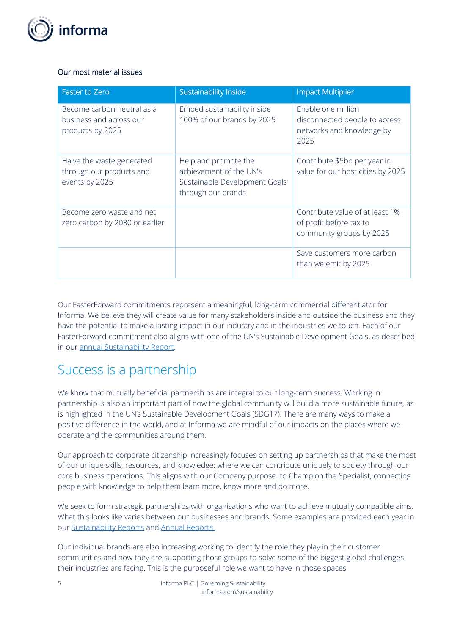

#### Our most material issues

| <b>Faster to Zero</b>                                                     | <b>Sustainability Inside</b>                                                                           | <b>Impact Multiplier</b>                                                                 |
|---------------------------------------------------------------------------|--------------------------------------------------------------------------------------------------------|------------------------------------------------------------------------------------------|
| Become carbon neutral as a<br>business and across our<br>products by 2025 | Embed sustainability inside<br>100% of our brands by 2025                                              | Enable one million<br>disconnected people to access<br>networks and knowledge by<br>2025 |
| Halve the waste generated<br>through our products and<br>events by 2025   | Help and promote the<br>achievement of the UN's<br>Sustainable Development Goals<br>through our brands | Contribute \$5bn per year in<br>value for our host cities by 2025                        |
| Become zero waste and net<br>zero carbon by 2030 or earlier               |                                                                                                        | Contribute value of at least 1%<br>of profit before tax to<br>community groups by 2025   |
|                                                                           |                                                                                                        | Save customers more carbon<br>than we emit by 2025                                       |

Our FasterForward commitments represent a meaningful, long-term commercial differentiator for Informa. We believe they will create value for many stakeholders inside and outside the business and they have the potential to make a lasting impact in our industry and in the industries we touch. Each of our FasterForward commitment also aligns with one of the UN's Sustainable Development Goals, as described in our annual [Sustainability Report.](https://www.informa.com/sustainability/sustainability-reports/) 

# Success is a partnership

We know that mutually beneficial partnerships are integral to our long-term success. Working in partnership is also an important part of how the global community will build a more sustainable future, as is highlighted in the UN's Sustainable Development Goals (SDG17). There are many ways to make a positive difference in the world, and at Informa we are mindful of our impacts on the places where we operate and the communities around them.

Our approach to corporate citizenship increasingly focuses on setting up partnerships that make the most of our unique skills, resources, and knowledge: where we can contribute uniquely to society through our core business operations. This aligns with our Company purpose: to Champion the Specialist, connecting people with knowledge to help them learn more, know more and do more.

We seek to form strategic partnerships with organisations who want to achieve mutually compatible aims. What this looks like varies between our businesses and brands. Some examples are provided each year in our [Sustainability Reports](https://www.informa.com/sustainability/sustainability-reports/) an[d Annual Reports.](https://www.informa.com/investors/annual-report/)

Our individual brands are also increasing working to identify the role they play in their customer communities and how they are supporting those groups to solve some of the biggest global challenges their industries are facing. This is the purposeful role we want to have in those spaces.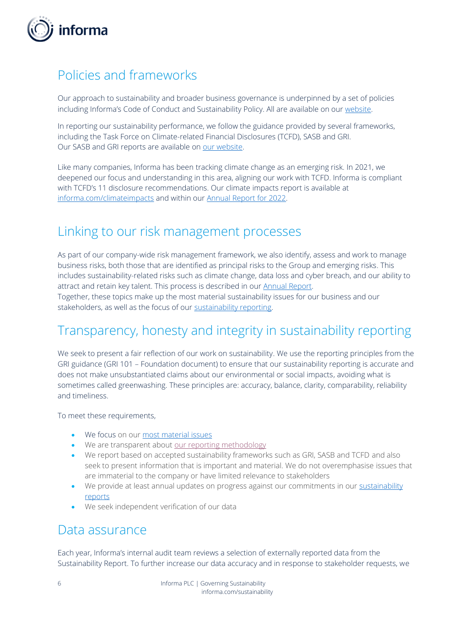

# Policies and frameworks

Our approach to sustainability and broader business governance is underpinned by a set of policies including Informa's Code of Conduct and Sustainability Policy. All are available on ou[r website.](https://www.informa.com/sustainability/group-policies/)

In reporting our sustainability performance, we follow the guidance provided by several frameworks, including the Task Force on Climate-related Financial Disclosures (TCFD), SASB and GRI. Our SASB and GRI reports are available on [our website.](https://www.informa.com/sustainability/sustainability-reports/)

Like many companies, Informa has been tracking climate change as an emerging risk. In 2021, we deepened our focus and understanding in this area, aligning our work with TCFD. Informa is compliant with TCFD's 11 disclosure recommendations. Our climate impacts report is available at [informa.com/climateimpacts](http://www.informa.com/climateimpacts) and within our [Annual Report for 2022.](https://www.informa.com/investors/annual-report/) 

### Linking to our risk management processes

As part of our company-wide risk management framework, we also identify, assess and work to manage business risks, both those that are identified as principal risks to the Group and emerging risks. This includes sustainability-related risks such as climate change, data loss and cyber breach, and our ability to attract and retain key talent. This process is described in our [Annual Report.](https://www.informa.com/investors/annual-report/)

Together, these topics make up the most material sustainability issues for our business and our stakeholders, as well as the focus of our [sustainability reporting.](https://www.informa.com/sustainability/sustainability-reports/)

# Transparency, honesty and integrity in sustainability reporting

We seek to present a fair reflection of our work on sustainability. We use the reporting principles from the GRI guidance (GRI 101 – Foundation document) to ensure that our sustainability reporting is accurate and does not make unsubstantiated claims about our environmental or social impacts, avoiding what is sometimes called greenwashing. These principles are: accuracy, balance, clarity, comparability, reliability and timeliness.

To meet these requirements,

- We focus on our [most material issues](#page-4-0)
- We are transparent about [our reporting methodology](https://www.informa.com/sustainability/sustainability-reports/)
- We report based on accepted sustainability frameworks such as GRI, SASB and TCFD and also seek to present information that is important and material. We do not overemphasise issues that are immaterial to the company or have limited relevance to stakeholders
- We provide at least annual updates on progress against our commitments in our sustainability [reports](https://www.informa.com/sustainability/sustainability-reports/)
- We seek independent verification of our data

#### Data assurance

Each year, Informa's internal audit team reviews a selection of externally reported data from the Sustainability Report. To further increase our data accuracy and in response to stakeholder requests, we